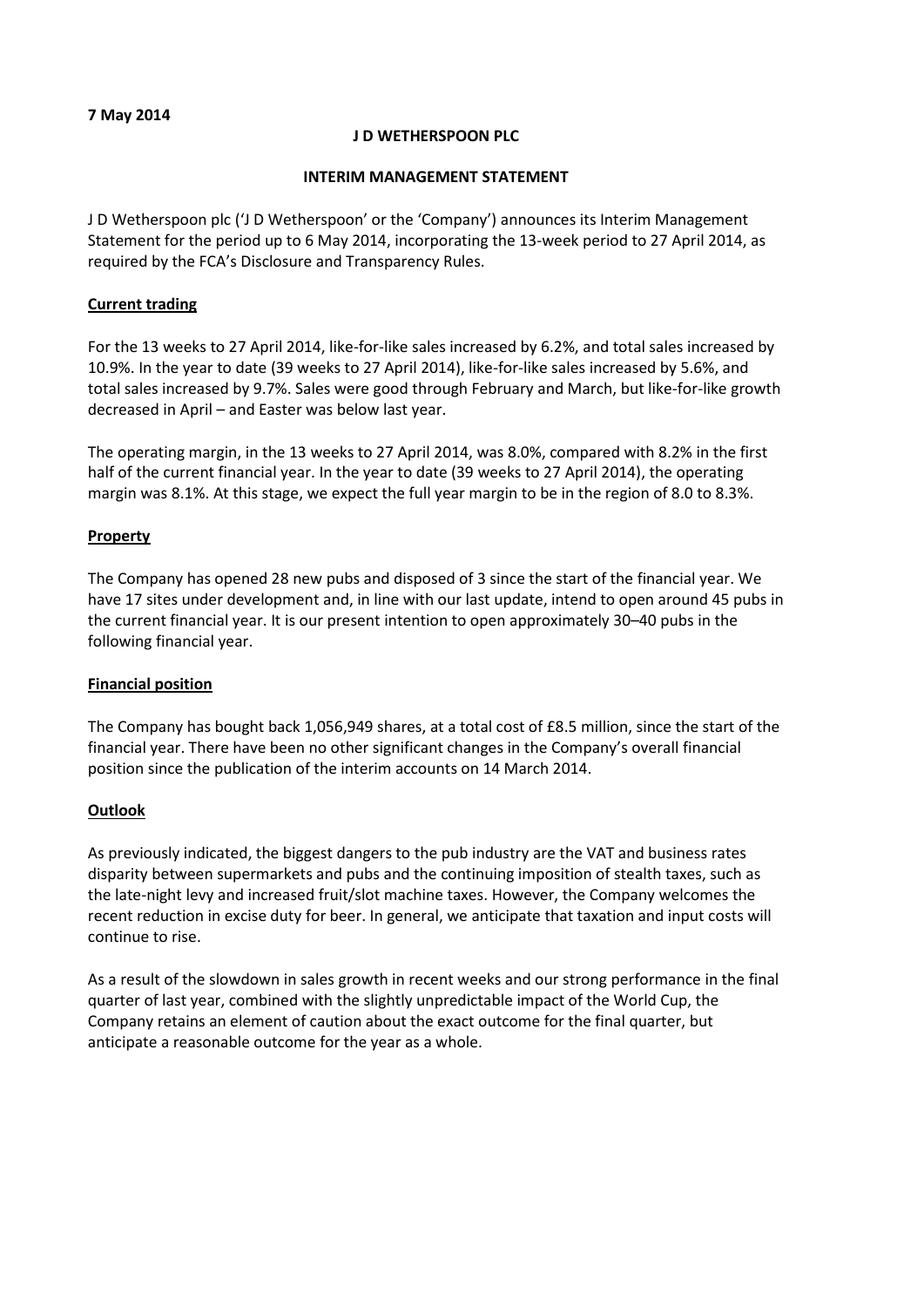**7 May 2014**

## **J D WETHERSPOON PLC**

#### **INTERIM MANAGEMENT STATEMENT**

J D Wetherspoon plc ('J D Wetherspoon' or the 'Company') announces its Interim Management Statement for the period up to 6 May 2014, incorporating the 13-week period to 27 April 2014, as required by the FCA's Disclosure and Transparency Rules.

## **Current trading**

For the 13 weeks to 27 April 2014, like-for-like sales increased by 6.2%, and total sales increased by 10.9%. In the year to date (39 weeks to 27 April 2014), like-for-like sales increased by 5.6%, and total sales increased by 9.7%. Sales were good through February and March, but like-for-like growth decreased in April – and Easter was below last year.

The operating margin, in the 13 weeks to 27 April 2014, was 8.0%, compared with 8.2% in the first half of the current financial year. In the year to date (39 weeks to 27 April 2014), the operating margin was 8.1%. At this stage, we expect the full year margin to be in the region of 8.0 to 8.3%.

#### **Property**

The Company has opened 28 new pubs and disposed of 3 since the start of the financial year. We have 17 sites under development and, in line with our last update, intend to open around 45 pubs in the current financial year. It is our present intention to open approximately 30–40 pubs in the following financial year.

## **Financial position**

The Company has bought back 1,056,949 shares, at a total cost of £8.5 million, since the start of the financial year. There have been no other significant changes in the Company's overall financial position since the publication of the interim accounts on 14 March 2014.

## **Outlook**

As previously indicated, the biggest dangers to the pub industry are the VAT and business rates disparity between supermarkets and pubs and the continuing imposition of stealth taxes, such as the late-night levy and increased fruit/slot machine taxes. However, the Company welcomes the recent reduction in excise duty for beer. In general, we anticipate that taxation and input costs will continue to rise.

As a result of the slowdown in sales growth in recent weeks and our strong performance in the final quarter of last year, combined with the slightly unpredictable impact of the World Cup, the Company retains an element of caution about the exact outcome for the final quarter, but anticipate a reasonable outcome for the year as a whole.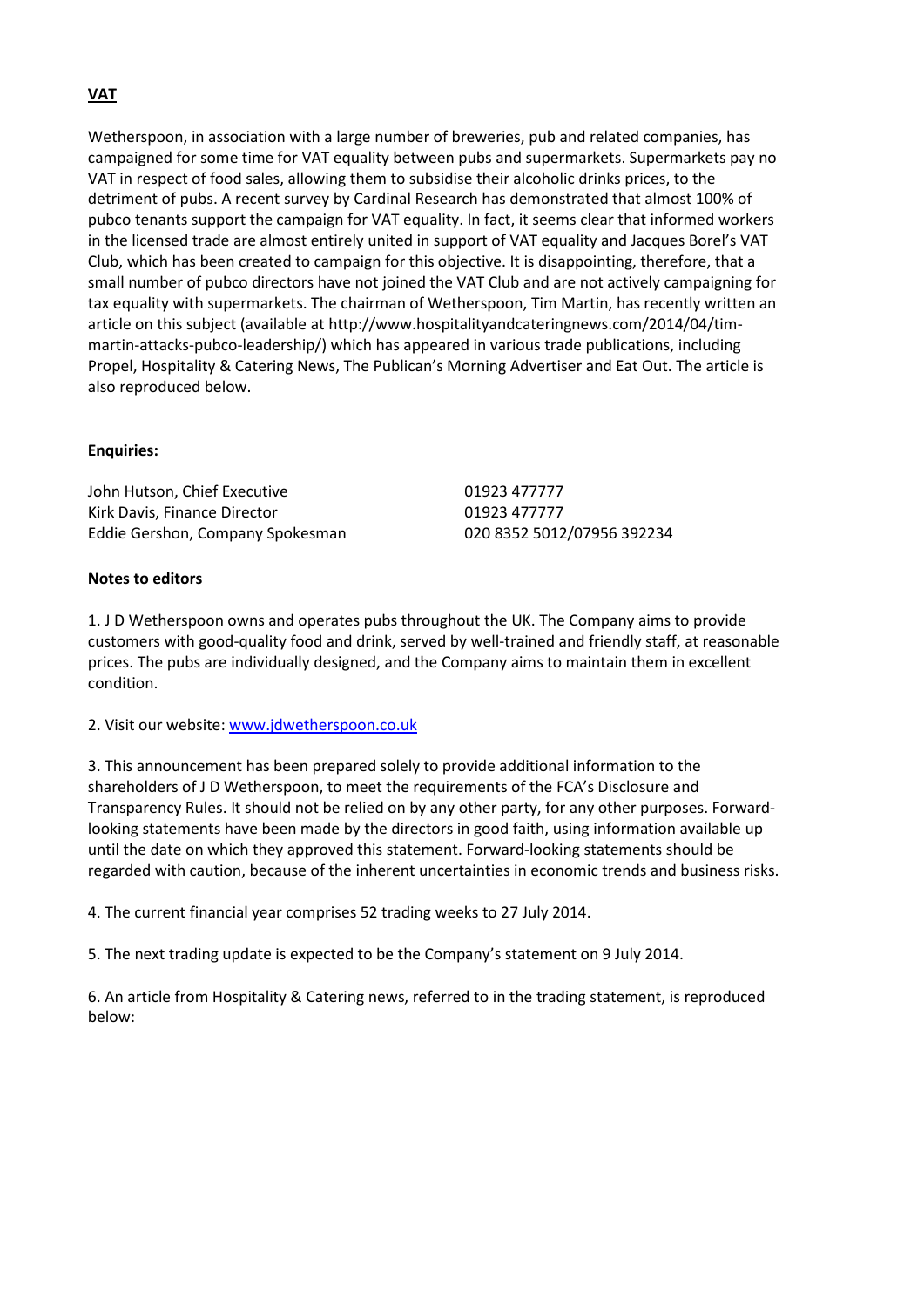## **VAT**

Wetherspoon, in association with a large number of breweries, pub and related companies, has campaigned for some time for VAT equality between pubs and supermarkets. Supermarkets pay no VAT in respect of food sales, allowing them to subsidise their alcoholic drinks prices, to the detriment of pubs. A recent survey by Cardinal Research has demonstrated that almost 100% of pubco tenants support the campaign for VAT equality. In fact, it seems clear that informed workers in the licensed trade are almost entirely united in support of VAT equality and Jacques Borel's VAT Club, which has been created to campaign for this objective. It is disappointing, therefore, that a small number of pubco directors have not joined the VAT Club and are not actively campaigning for tax equality with supermarkets. The chairman of Wetherspoon, Tim Martin, has recently written an article on this subject (available a[t http://www.hospitalityandcateringnews.com/2014/04/tim](http://www.hospitalityandcateringnews.com/2014/04/tim-martin-attacks-pubco-leadership/)[martin-attacks-pubco-leadership/\)](http://www.hospitalityandcateringnews.com/2014/04/tim-martin-attacks-pubco-leadership/) which has appeared in various trade publications, including Propel, Hospitality & Catering News, The Publican's Morning Advertiser and Eat Out. The article is also reproduced below.

## **Enquiries:**

John Hutson, Chief Executive **19923 477777** Kirk Davis, Finance Director **01923 477777** Eddie Gershon, Company Spokesman 020 8352 5012/07956 392234

## **Notes to editors**

1. J D Wetherspoon owns and operates pubs throughout the UK. The Company aims to provide customers with good-quality food and drink, served by well-trained and friendly staff, at reasonable prices. The pubs are individually designed, and the Company aims to maintain them in excellent condition.

2. Visit our website: [www.jdwetherspoon.co.uk](http://www.jdwetherspoon.co.uk/)

3. This announcement has been prepared solely to provide additional information to the shareholders of J D Wetherspoon, to meet the requirements of the FCA's Disclosure and Transparency Rules. It should not be relied on by any other party, for any other purposes. Forwardlooking statements have been made by the directors in good faith, using information available up until the date on which they approved this statement. Forward-looking statements should be regarded with caution, because of the inherent uncertainties in economic trends and business risks.

4. The current financial year comprises 52 trading weeks to 27 July 2014.

5. The next trading update is expected to be the Company's statement on 9 July 2014.

6. An article from Hospitality & Catering news, referred to in the trading statement, is reproduced below: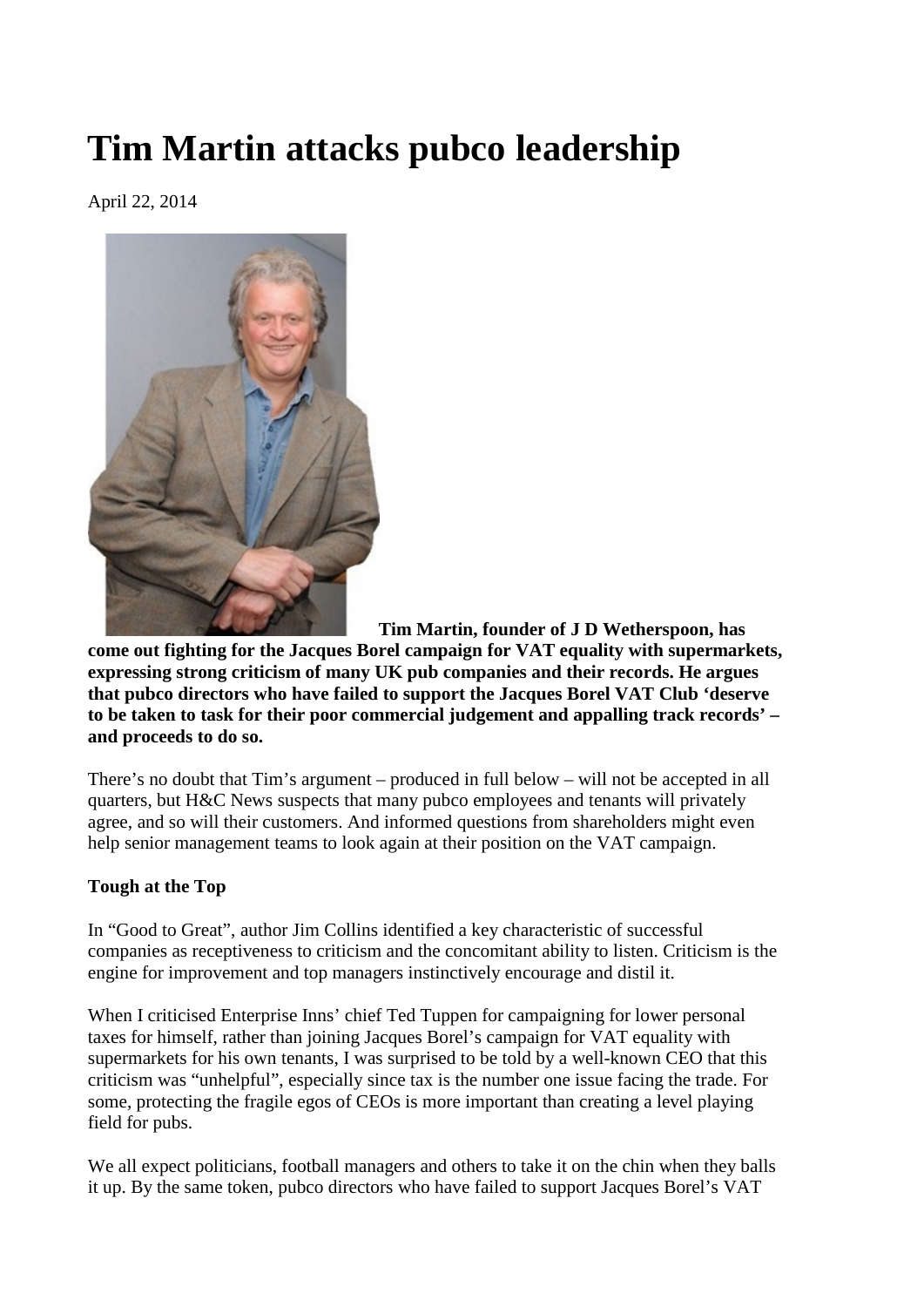# **Tim Martin attacks pubco leadership**

April 22, 2014



**Tim Martin, founder of J D Wetherspoon, has** 

**come out fighting for the Jacques Borel campaign for VAT equality with supermarkets, expressing strong criticism of many UK pub companies and their records. He argues that pubco directors who have failed to support the Jacques Borel VAT Club 'deserve to be taken to task for their poor commercial judgement and appalling track records' – and proceeds to do so.**

There's no doubt that Tim's argument – produced in full below – will not be accepted in all quarters, but H&C News suspects that many pubco employees and tenants will privately agree, and so will their customers. And informed questions from shareholders might even help senior management teams to look again at their position on the VAT campaign.

# **Tough at the Top**

In "Good to Great", author Jim Collins identified a key characteristic of successful companies as receptiveness to criticism and the concomitant ability to listen. Criticism is the engine for improvement and top managers instinctively encourage and distil it.

When I criticised Enterprise Inns' chief Ted Tuppen for campaigning for lower personal taxes for himself, rather than joining Jacques Borel's campaign for VAT equality with supermarkets for his own tenants, I was surprised to be told by a well-known CEO that this criticism was "unhelpful", especially since tax is the number one issue facing the trade. For some, protecting the fragile egos of CEOs is more important than creating a level playing field for pubs.

We all expect politicians, football managers and others to take it on the chin when they balls it up. By the same token, pubco directors who have failed to support Jacques Borel's VAT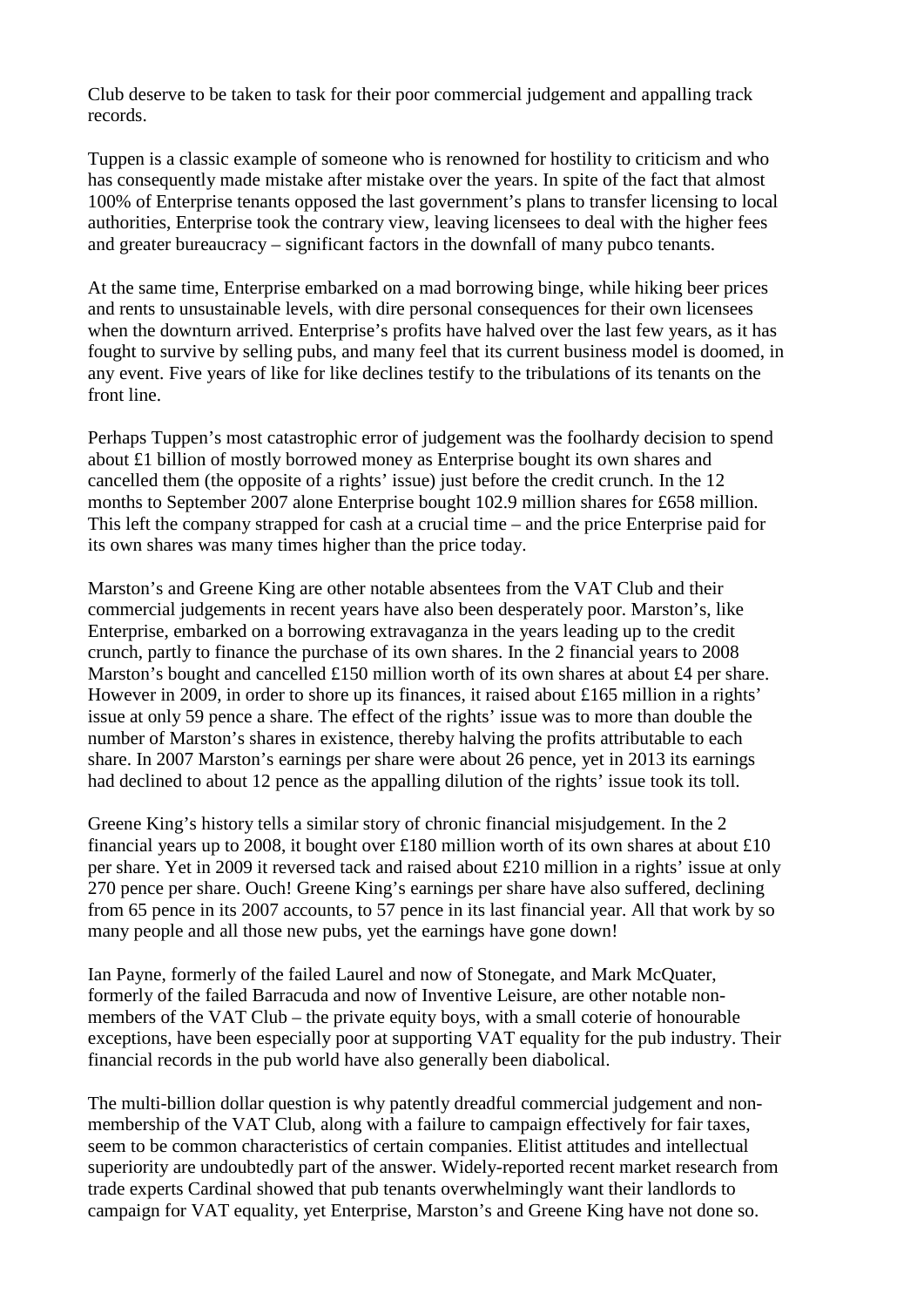Club deserve to be taken to task for their poor commercial judgement and appalling track records.

Tuppen is a classic example of someone who is renowned for hostility to criticism and who has consequently made mistake after mistake over the years. In spite of the fact that almost 100% of Enterprise tenants opposed the last government's plans to transfer licensing to local authorities, Enterprise took the contrary view, leaving licensees to deal with the higher fees and greater bureaucracy – significant factors in the downfall of many pubco tenants.

At the same time, Enterprise embarked on a mad borrowing binge, while hiking beer prices and rents to unsustainable levels, with dire personal consequences for their own licensees when the downturn arrived. Enterprise's profits have halved over the last few years, as it has fought to survive by selling pubs, and many feel that its current business model is doomed, in any event. Five years of like for like declines testify to the tribulations of its tenants on the front line.

Perhaps Tuppen's most catastrophic error of judgement was the foolhardy decision to spend about £1 billion of mostly borrowed money as Enterprise bought its own shares and cancelled them (the opposite of a rights' issue) just before the credit crunch. In the 12 months to September 2007 alone Enterprise bought 102.9 million shares for £658 million. This left the company strapped for cash at a crucial time – and the price Enterprise paid for its own shares was many times higher than the price today.

Marston's and Greene King are other notable absentees from the VAT Club and their commercial judgements in recent years have also been desperately poor. Marston's, like Enterprise, embarked on a borrowing extravaganza in the years leading up to the credit crunch, partly to finance the purchase of its own shares. In the 2 financial years to 2008 Marston's bought and cancelled £150 million worth of its own shares at about £4 per share. However in 2009, in order to shore up its finances, it raised about £165 million in a rights' issue at only 59 pence a share. The effect of the rights' issue was to more than double the number of Marston's shares in existence, thereby halving the profits attributable to each share. In 2007 Marston's earnings per share were about 26 pence, yet in 2013 its earnings had declined to about 12 pence as the appalling dilution of the rights' issue took its toll.

Greene King's history tells a similar story of chronic financial misjudgement. In the 2 financial years up to 2008, it bought over £180 million worth of its own shares at about £10 per share. Yet in 2009 it reversed tack and raised about £210 million in a rights' issue at only 270 pence per share. Ouch! Greene King's earnings per share have also suffered, declining from 65 pence in its 2007 accounts, to 57 pence in its last financial year. All that work by so many people and all those new pubs, yet the earnings have gone down!

Ian Payne, formerly of the failed Laurel and now of Stonegate, and Mark McQuater, formerly of the failed Barracuda and now of Inventive Leisure, are other notable nonmembers of the VAT Club – the private equity boys, with a small coterie of honourable exceptions, have been especially poor at supporting VAT equality for the pub industry. Their financial records in the pub world have also generally been diabolical.

The multi-billion dollar question is why patently dreadful commercial judgement and nonmembership of the VAT Club, along with a failure to campaign effectively for fair taxes, seem to be common characteristics of certain companies. Elitist attitudes and intellectual superiority are undoubtedly part of the answer. Widely-reported recent market research from trade experts Cardinal showed that pub tenants overwhelmingly want their landlords to campaign for VAT equality, yet Enterprise, Marston's and Greene King have not done so.